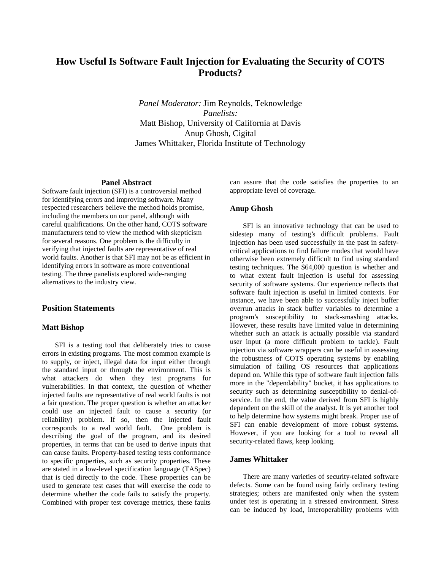# **How Useful Is Software Fault Injection for Evaluating the Security of COTS Products?**

*Panel Moderator:* Jim Reynolds, Teknowledge *Panelists:*  Matt Bishop, University of California at Davis Anup Ghosh, Cigital James Whittaker, Florida Institute of Technology

#### **Panel Abstract**

Software fault injection (SFI) is a controversial method for identifying errors and improving software. Many respected researchers believe the method holds promise, including the members on our panel, although with careful qualifications. On the other hand, COTS software manufacturers tend to view the method with skepticism for several reasons. One problem is the difficulty in verifying that injected faults are representative of real world faults. Another is that SFI may not be as efficient in identifying errors in software as more conventional testing. The three panelists explored wide-ranging alternatives to the industry view.

## **Position Statements**

#### **Matt Bishop**

SFI is a testing tool that deliberately tries to cause errors in existing programs. The most common example is to supply, or inject, illegal data for input either through the standard input or through the environment. This is what attackers do when they test programs for vulnerabilities. In that context, the question of whether injected faults are representative of real world faults is not a fair question. The proper question is whether an attacker could use an injected fault to cause a security (or reliability) problem. If so, then the injected fault corresponds to a real world fault. One problem is describing the goal of the program, and its desired properties, in terms that can be used to derive inputs that can cause faults. Property-based testing tests conformance to specific properties, such as security properties. These are stated in a low-level specification language (TASpec) that is tied directly to the code. These properties can be used to generate test cases that will exercise the code to determine whether the code fails to satisfy the property. Combined with proper test coverage metrics, these faults

can assure that the code satisfies the properties to an appropriate level of coverage.

### **Anup Ghosh**

SFI is an innovative technology that can be used to sidestep many of testing's difficult problems. Fault injection has been used successfully in the past in safetycritical applications to find failure modes that would have otherwise been extremely difficult to find using standard testing techniques. The \$64,000 question is whether and to what extent fault injection is useful for assessing security of software systems. Our experience reflects that software fault injection is useful in limited contexts. For instance, we have been able to successfully inject buffer overrun attacks in stack buffer variables to determine a program's susceptibility to stack-smashing attacks. However, these results have limited value in determining whether such an attack is actually possible via standard user input (a more difficult problem to tackle). Fault injection via software wrappers can be useful in assessing the robustness of COTS operating systems by enabling simulation of failing OS resources that applications depend on. While this type of software fault injection falls more in the "dependability" bucket, it has applications to security such as determining susceptibility to denial-ofservice. In the end, the value derived from SFI is highly dependent on the skill of the analyst. It is yet another tool to help determine how systems might break. Proper use of SFI can enable development of more robust systems. However, if you are looking for a tool to reveal all security-related flaws, keep looking.

## **James Whittaker**

There are many varieties of security-related software defects. Some can be found using fairly ordinary testing strategies; others are manifested only when the system under test is operating in a stressed environment. Stress can be induced by load, interoperability problems with